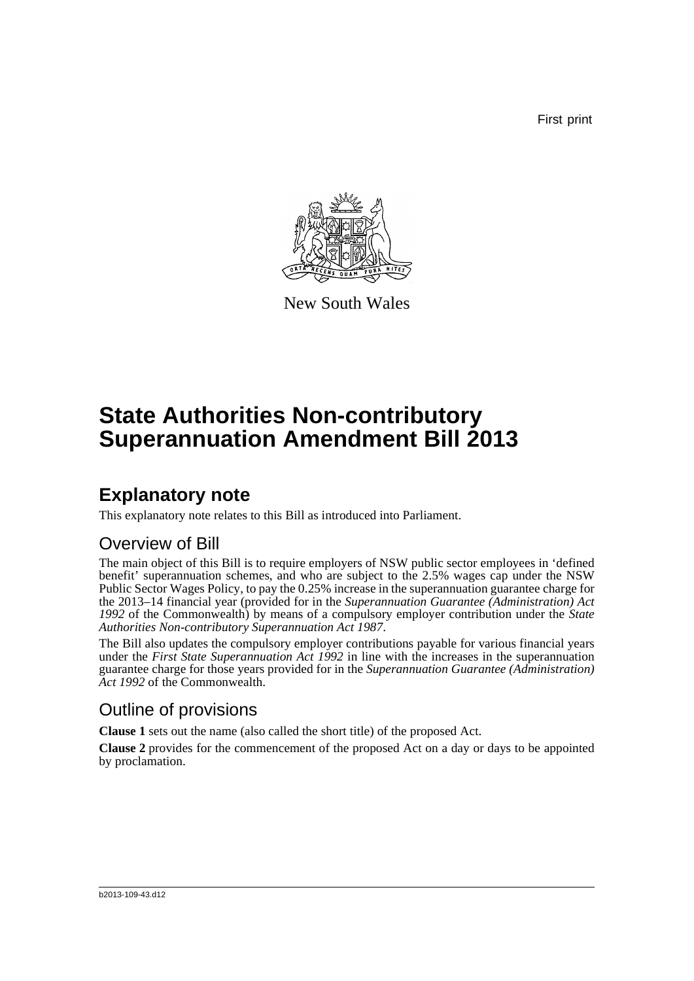First print



New South Wales

# **State Authorities Non-contributory Superannuation Amendment Bill 2013**

### **Explanatory note**

This explanatory note relates to this Bill as introduced into Parliament.

### Overview of Bill

The main object of this Bill is to require employers of NSW public sector employees in 'defined benefit' superannuation schemes, and who are subject to the 2.5% wages cap under the NSW Public Sector Wages Policy, to pay the 0.25% increase in the superannuation guarantee charge for the 2013–14 financial year (provided for in the *Superannuation Guarantee (Administration) Act 1992* of the Commonwealth) by means of a compulsory employer contribution under the *State Authorities Non-contributory Superannuation Act 1987*.

The Bill also updates the compulsory employer contributions payable for various financial years under the *First State Superannuation Act 1992* in line with the increases in the superannuation guarantee charge for those years provided for in the *Superannuation Guarantee (Administration) Act 1992* of the Commonwealth.

### Outline of provisions

**Clause 1** sets out the name (also called the short title) of the proposed Act.

**Clause 2** provides for the commencement of the proposed Act on a day or days to be appointed by proclamation.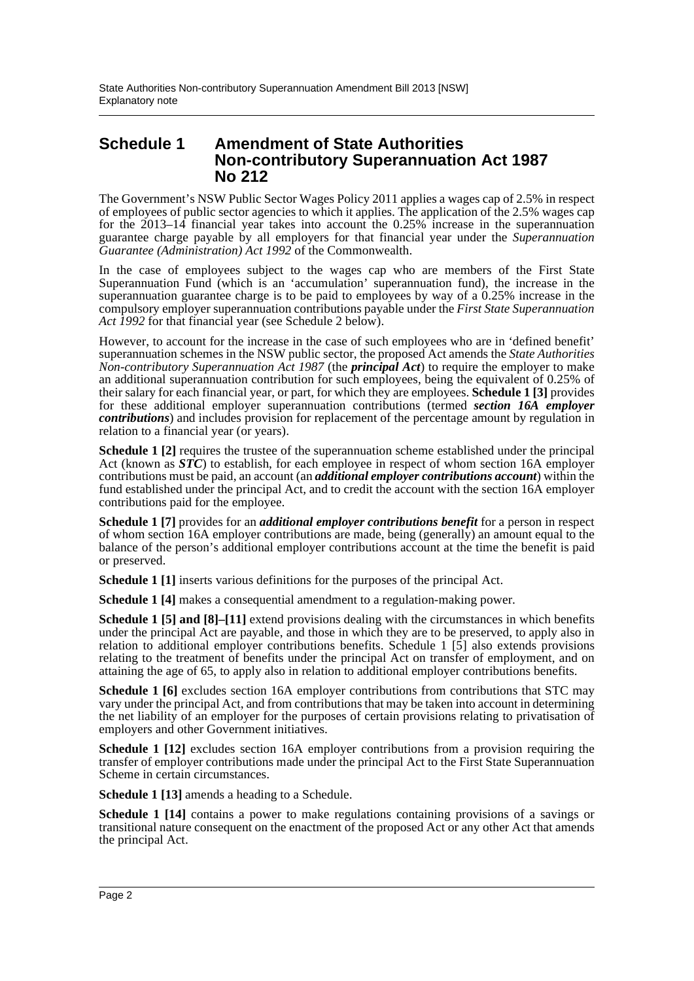#### **Schedule 1 Amendment of State Authorities Non-contributory Superannuation Act 1987 No 212**

The Government's NSW Public Sector Wages Policy 2011 applies a wages cap of 2.5% in respect of employees of public sector agencies to which it applies. The application of the 2.5% wages cap for the  $2013-14$  financial year takes into account the 0.25% increase in the superannuation guarantee charge payable by all employers for that financial year under the *Superannuation Guarantee (Administration) Act 1992* of the Commonwealth.

In the case of employees subject to the wages cap who are members of the First State Superannuation Fund (which is an 'accumulation' superannuation fund), the increase in the superannuation guarantee charge is to be paid to employees by way of a 0.25% increase in the compulsory employer superannuation contributions payable under the *First State Superannuation Act 1992* for that financial year (see Schedule 2 below).

However, to account for the increase in the case of such employees who are in 'defined benefit' superannuation schemes in the NSW public sector, the proposed Act amends the *State Authorities Non-contributory Superannuation Act 1987* (the *principal Act*) to require the employer to make an additional superannuation contribution for such employees, being the equivalent of 0.25% of their salary for each financial year, or part, for which they are employees. **Schedule 1 [3]** provides for these additional employer superannuation contributions (termed *section 16A employer contributions*) and includes provision for replacement of the percentage amount by regulation in relation to a financial year (or years).

**Schedule 1** [2] requires the trustee of the superannuation scheme established under the principal Act (known as *STC*) to establish, for each employee in respect of whom section 16A employer contributions must be paid, an account (an *additional employer contributions account*) within the fund established under the principal Act, and to credit the account with the section 16A employer contributions paid for the employee.

**Schedule 1 [7]** provides for an *additional employer contributions benefit* for a person in respect of whom section 16A employer contributions are made, being (generally) an amount equal to the balance of the person's additional employer contributions account at the time the benefit is paid or preserved.

**Schedule 1 [1]** inserts various definitions for the purposes of the principal Act.

**Schedule 1 [4]** makes a consequential amendment to a regulation-making power.

**Schedule 1 [5] and [8]–[11]** extend provisions dealing with the circumstances in which benefits under the principal Act are payable, and those in which they are to be preserved, to apply also in relation to additional employer contributions benefits. Schedule 1 [5] also extends provisions relating to the treatment of benefits under the principal Act on transfer of employment, and on attaining the age of 65, to apply also in relation to additional employer contributions benefits.

**Schedule 1 [6]** excludes section 16A employer contributions from contributions that STC may vary under the principal Act, and from contributions that may be taken into account in determining the net liability of an employer for the purposes of certain provisions relating to privatisation of employers and other Government initiatives.

**Schedule 1 [12]** excludes section 16A employer contributions from a provision requiring the transfer of employer contributions made under the principal Act to the First State Superannuation Scheme in certain circumstances.

**Schedule 1 [13]** amends a heading to a Schedule.

**Schedule 1 [14]** contains a power to make regulations containing provisions of a savings or transitional nature consequent on the enactment of the proposed Act or any other Act that amends the principal Act.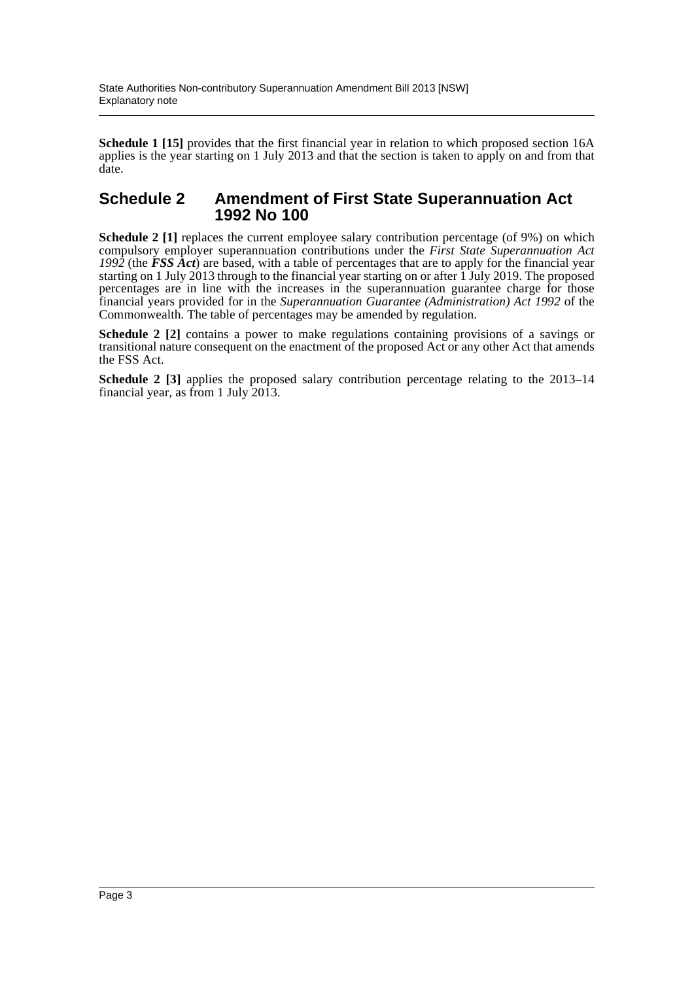**Schedule 1 [15]** provides that the first financial year in relation to which proposed section 16A applies is the year starting on 1 July 2013 and that the section is taken to apply on and from that date.

#### **Schedule 2 Amendment of First State Superannuation Act 1992 No 100**

**Schedule 2 [1]** replaces the current employee salary contribution percentage (of 9%) on which compulsory employer superannuation contributions under the *First State Superannuation Act 1992* (the *FSS Act*) are based, with a table of percentages that are to apply for the financial year starting on 1 July 2013 through to the financial year starting on or after 1 July 2019. The proposed percentages are in line with the increases in the superannuation guarantee charge for those financial years provided for in the *Superannuation Guarantee (Administration) Act 1992* of the Commonwealth. The table of percentages may be amended by regulation.

**Schedule 2 [2]** contains a power to make regulations containing provisions of a savings or transitional nature consequent on the enactment of the proposed Act or any other Act that amends the FSS Act.

**Schedule 2 [3]** applies the proposed salary contribution percentage relating to the 2013–14 financial year, as from 1 July 2013.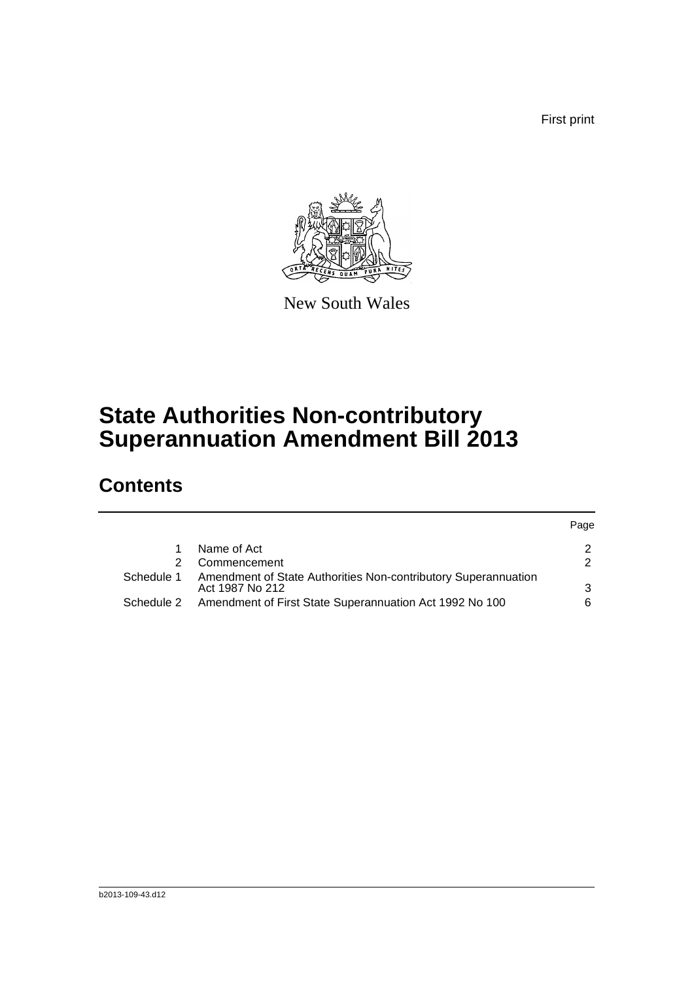First print

Page



New South Wales

# **State Authorities Non-contributory Superannuation Amendment Bill 2013**

## **Contents**

|            |                                                                                   | <b>Page</b> |
|------------|-----------------------------------------------------------------------------------|-------------|
|            | Name of Act                                                                       |             |
| 2.         | Commencement                                                                      |             |
| Schedule 1 | Amendment of State Authorities Non-contributory Superannuation<br>Act 1987 No 212 | ิว          |
| Schedule 2 | Amendment of First State Superannuation Act 1992 No 100                           | 6           |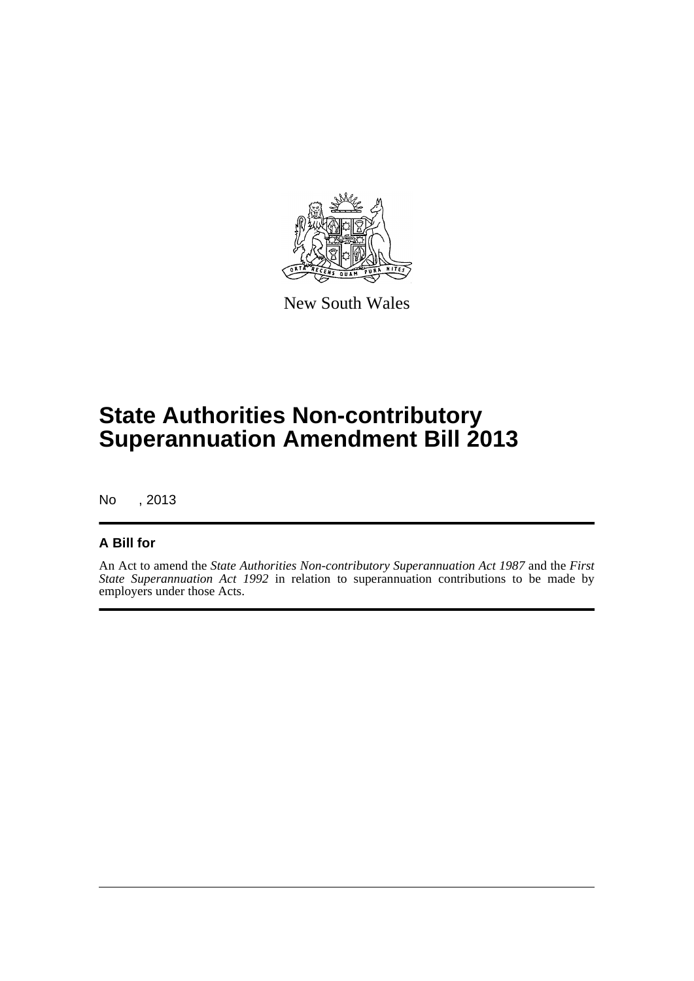

New South Wales

# **State Authorities Non-contributory Superannuation Amendment Bill 2013**

No , 2013

#### **A Bill for**

An Act to amend the *State Authorities Non-contributory Superannuation Act 1987* and the *First State Superannuation Act 1992* in relation to superannuation contributions to be made by employers under those Acts.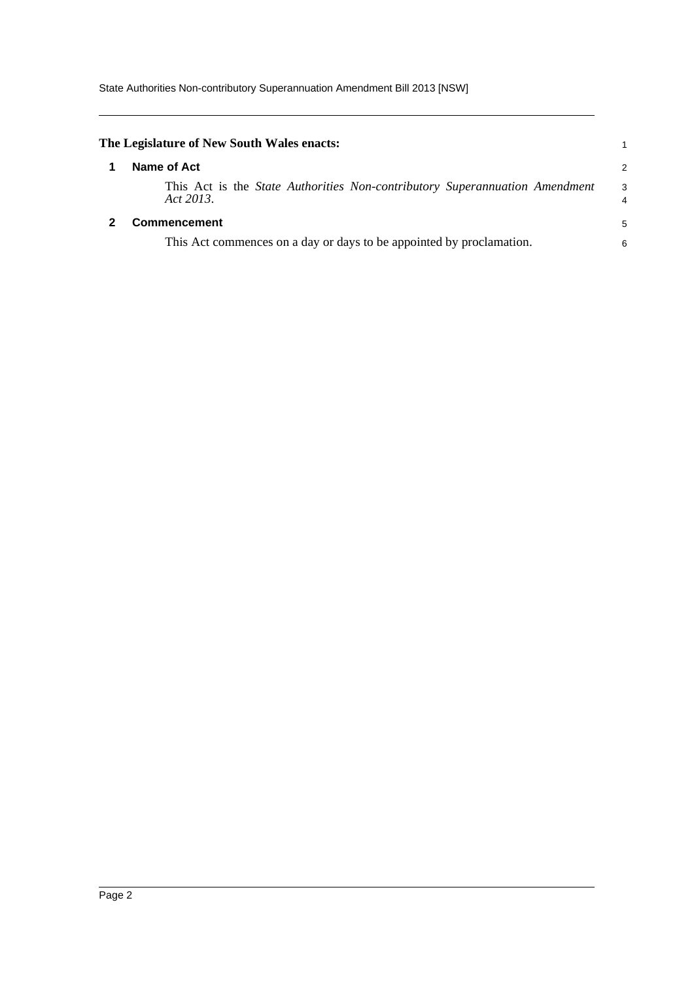<span id="page-5-1"></span><span id="page-5-0"></span>

| The Legislature of New South Wales enacts:                                                      |                |
|-------------------------------------------------------------------------------------------------|----------------|
| Name of Act                                                                                     | $\overline{2}$ |
| This Act is the <i>State Authorities Non-contributory Superannuation Amendment</i><br>Act 2013. | 3<br>4         |
| <b>Commencement</b>                                                                             | 5              |
| This Act commences on a day or days to be appointed by proclamation.                            |                |
|                                                                                                 |                |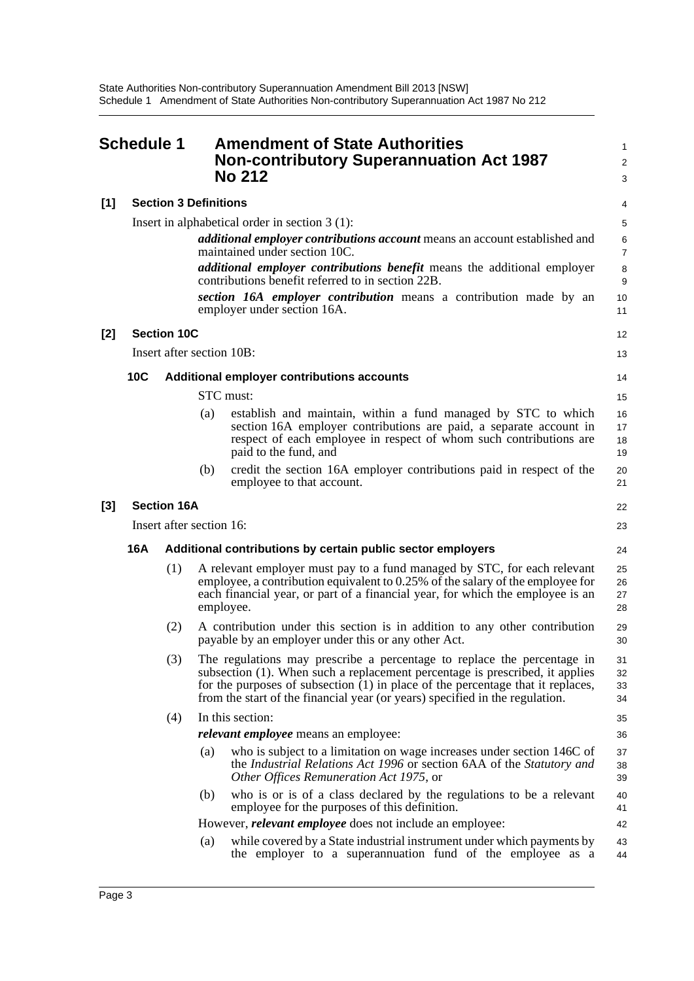<span id="page-6-0"></span>

|       | Schedule 1                                                         |                           |     | <b>Amendment of State Authorities</b><br><b>Non-contributory Superannuation Act 1987</b><br><b>No 212</b>                                                                                                                                                                                                                  | 1<br>$\overline{c}$<br>3 |
|-------|--------------------------------------------------------------------|---------------------------|-----|----------------------------------------------------------------------------------------------------------------------------------------------------------------------------------------------------------------------------------------------------------------------------------------------------------------------------|--------------------------|
| $[1]$ | <b>Section 3 Definitions</b>                                       |                           |     | 4                                                                                                                                                                                                                                                                                                                          |                          |
|       |                                                                    |                           |     | Insert in alphabetical order in section $3(1)$ :                                                                                                                                                                                                                                                                           | 5                        |
|       |                                                                    |                           |     | <i>additional employer contributions account</i> means an account established and<br>maintained under section 10C.                                                                                                                                                                                                         | 6<br>$\overline{7}$      |
|       |                                                                    |                           |     | additional employer contributions benefit means the additional employer<br>contributions benefit referred to in section 22B.                                                                                                                                                                                               | 8<br>9                   |
|       |                                                                    |                           |     | section 16A employer contribution means a contribution made by an<br>employer under section 16A.                                                                                                                                                                                                                           | 10<br>11                 |
| $[2]$ |                                                                    | <b>Section 10C</b>        |     |                                                                                                                                                                                                                                                                                                                            | 12                       |
|       |                                                                    | Insert after section 10B: |     |                                                                                                                                                                                                                                                                                                                            | 13                       |
|       | 10C                                                                |                           |     | Additional employer contributions accounts                                                                                                                                                                                                                                                                                 | 14                       |
|       |                                                                    |                           |     | STC must:                                                                                                                                                                                                                                                                                                                  | 15                       |
|       |                                                                    |                           | (a) | establish and maintain, within a fund managed by STC to which<br>section 16A employer contributions are paid, a separate account in<br>respect of each employee in respect of whom such contributions are<br>paid to the fund, and                                                                                         | 16<br>17<br>18<br>19     |
|       |                                                                    |                           | (b) | credit the section 16A employer contributions paid in respect of the<br>employee to that account.                                                                                                                                                                                                                          | 20<br>21                 |
| [3]   |                                                                    | <b>Section 16A</b>        |     |                                                                                                                                                                                                                                                                                                                            | 22                       |
|       | Insert after section 16:                                           |                           |     |                                                                                                                                                                                                                                                                                                                            | 23                       |
|       | 16A<br>Additional contributions by certain public sector employers |                           |     |                                                                                                                                                                                                                                                                                                                            | 24                       |
|       |                                                                    | (1)                       |     | A relevant employer must pay to a fund managed by STC, for each relevant<br>employee, a contribution equivalent to 0.25% of the salary of the employee for<br>each financial year, or part of a financial year, for which the employee is an<br>employee.                                                                  | 25<br>26<br>27<br>28     |
|       |                                                                    | (2)                       |     | A contribution under this section is in addition to any other contribution<br>payable by an employer under this or any other Act.                                                                                                                                                                                          | 29<br>30                 |
|       |                                                                    | (3)                       |     | The regulations may prescribe a percentage to replace the percentage in<br>subsection (1). When such a replacement percentage is prescribed, it applies<br>for the purposes of subsection (1) in place of the percentage that it replaces,<br>from the start of the financial year (or years) specified in the regulation. | 31<br>32<br>33<br>34     |
|       |                                                                    | (4)                       |     | In this section:                                                                                                                                                                                                                                                                                                           | 35                       |
|       |                                                                    |                           |     | <i>relevant employee</i> means an employee:                                                                                                                                                                                                                                                                                | 36                       |
|       |                                                                    |                           | (a) | who is subject to a limitation on wage increases under section 146C of<br>the Industrial Relations Act 1996 or section 6AA of the Statutory and<br>Other Offices Remuneration Act 1975, or                                                                                                                                 | 37<br>38<br>39           |
|       |                                                                    |                           | (b) | who is or is of a class declared by the regulations to be a relevant<br>employee for the purposes of this definition.                                                                                                                                                                                                      | 40<br>41                 |
|       |                                                                    |                           |     | However, <i>relevant employee</i> does not include an employee:                                                                                                                                                                                                                                                            | 42                       |
|       |                                                                    |                           | (a) | while covered by a State industrial instrument under which payments by<br>the employer to a superannuation fund of the employee as a                                                                                                                                                                                       | 43<br>44                 |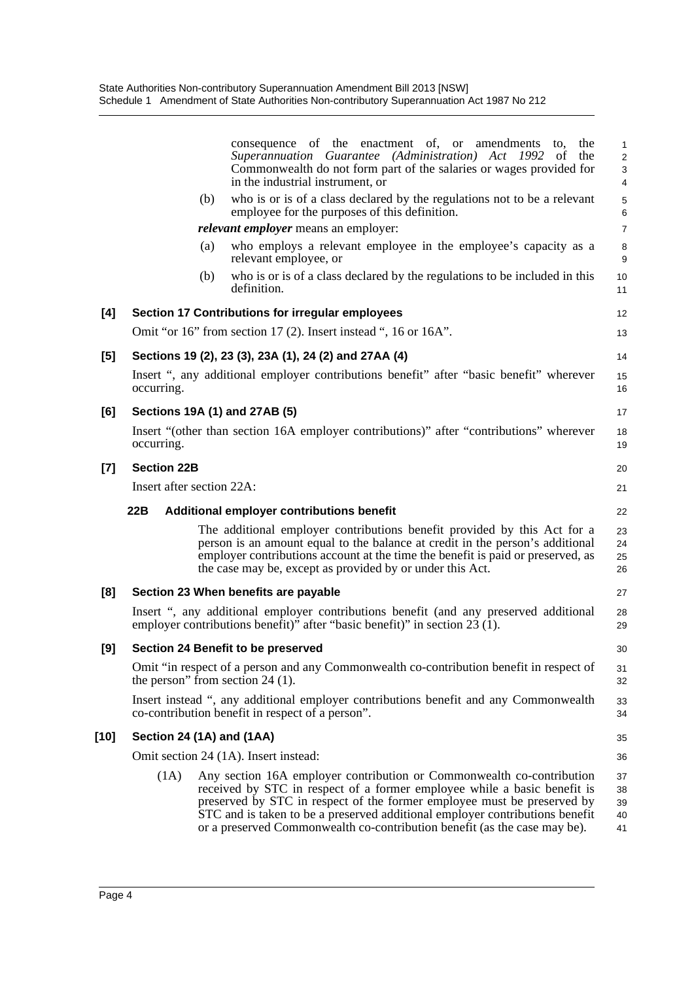|        |                                           | consequence of the enactment of, or amendments<br>the<br>to,<br>Superannuation Guarantee (Administration) Act 1992<br>the<br><sub>of</sub>                                                                                                                                                                                                                                                | 1<br>$\overline{\mathbf{c}}$ |
|--------|-------------------------------------------|-------------------------------------------------------------------------------------------------------------------------------------------------------------------------------------------------------------------------------------------------------------------------------------------------------------------------------------------------------------------------------------------|------------------------------|
|        |                                           | Commonwealth do not form part of the salaries or wages provided for<br>in the industrial instrument, or                                                                                                                                                                                                                                                                                   | 3<br>4                       |
|        | (b)                                       | who is or is of a class declared by the regulations not to be a relevant<br>employee for the purposes of this definition.                                                                                                                                                                                                                                                                 | 5<br>6                       |
|        |                                           | <i>relevant employer</i> means an employer:                                                                                                                                                                                                                                                                                                                                               | $\overline{7}$               |
|        | (a)                                       | who employs a relevant employee in the employee's capacity as a<br>relevant employee, or                                                                                                                                                                                                                                                                                                  | 8<br>9                       |
|        | (b)                                       | who is or is of a class declared by the regulations to be included in this<br>definition.                                                                                                                                                                                                                                                                                                 | 10<br>11                     |
| [4]    |                                           | Section 17 Contributions for irregular employees                                                                                                                                                                                                                                                                                                                                          | 12                           |
|        |                                           | Omit "or 16" from section 17 (2). Insert instead ", 16 or 16A".                                                                                                                                                                                                                                                                                                                           | 13                           |
| [5]    |                                           | Sections 19 (2), 23 (3), 23A (1), 24 (2) and 27AA (4)                                                                                                                                                                                                                                                                                                                                     | 14                           |
|        | occurring.                                | Insert ", any additional employer contributions benefit" after "basic benefit" wherever                                                                                                                                                                                                                                                                                                   | 15<br>16                     |
| [6]    | Sections 19A (1) and 27AB (5)             |                                                                                                                                                                                                                                                                                                                                                                                           | 17                           |
|        | occurring.                                | Insert "(other than section 16A employer contributions)" after "contributions" wherever                                                                                                                                                                                                                                                                                                   | 18<br>19                     |
| $[7]$  | <b>Section 22B</b>                        |                                                                                                                                                                                                                                                                                                                                                                                           | 20                           |
|        | Insert after section 22A:                 |                                                                                                                                                                                                                                                                                                                                                                                           | 21                           |
|        | 22B                                       | Additional employer contributions benefit                                                                                                                                                                                                                                                                                                                                                 | 22                           |
|        |                                           | The additional employer contributions benefit provided by this Act for a<br>person is an amount equal to the balance at credit in the person's additional<br>employer contributions account at the time the benefit is paid or preserved, as<br>the case may be, except as provided by or under this Act.                                                                                 | 23<br>24<br>25<br>26         |
| [8]    | Section 23 When benefits are payable      |                                                                                                                                                                                                                                                                                                                                                                                           | 27                           |
|        |                                           | Insert ", any additional employer contributions benefit (and any preserved additional<br>employer contributions benefit)" after "basic benefit)" in section $23(1)$ .                                                                                                                                                                                                                     | 28<br>29                     |
| [9]    | <b>Section 24 Benefit to be preserved</b> |                                                                                                                                                                                                                                                                                                                                                                                           | 30                           |
|        | the person" from section 24 $(1)$ .       | Omit "in respect of a person and any Commonwealth co-contribution benefit in respect of                                                                                                                                                                                                                                                                                                   | 31<br>32                     |
|        |                                           | Insert instead ", any additional employer contributions benefit and any Commonwealth<br>co-contribution benefit in respect of a person".                                                                                                                                                                                                                                                  | 33<br>34                     |
| $[10]$ | Section 24 (1A) and (1AA)                 |                                                                                                                                                                                                                                                                                                                                                                                           | 35                           |
|        | Omit section 24 (1A). Insert instead:     |                                                                                                                                                                                                                                                                                                                                                                                           | 36                           |
|        | (1A)                                      | Any section 16A employer contribution or Commonwealth co-contribution<br>received by STC in respect of a former employee while a basic benefit is<br>preserved by STC in respect of the former employee must be preserved by<br>STC and is taken to be a preserved additional employer contributions benefit<br>or a preserved Commonwealth co-contribution benefit (as the case may be). | 37<br>38<br>39<br>40<br>41   |
|        |                                           |                                                                                                                                                                                                                                                                                                                                                                                           |                              |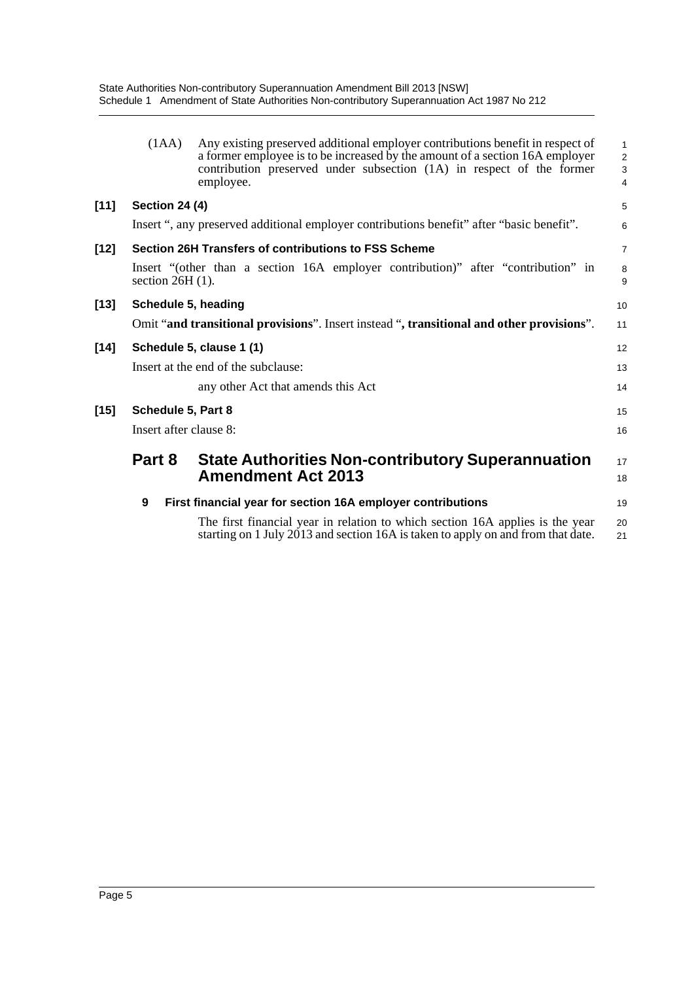State Authorities Non-contributory Superannuation Amendment Bill 2013 [NSW] Schedule 1 Amendment of State Authorities Non-contributory Superannuation Act 1987 No 212

|        | (1AA)                  | Any existing preserved additional employer contributions benefit in respect of<br>a former employee is to be increased by the amount of a section 16A employer<br>contribution preserved under subsection (1A) in respect of the former<br>employee. | $\mathbf{1}$<br>$\overline{2}$<br>$\mathbf{3}$<br>$\overline{4}$ |
|--------|------------------------|------------------------------------------------------------------------------------------------------------------------------------------------------------------------------------------------------------------------------------------------------|------------------------------------------------------------------|
| $[11]$ | <b>Section 24 (4)</b>  |                                                                                                                                                                                                                                                      | 5                                                                |
|        |                        | Insert ", any preserved additional employer contributions benefit" after "basic benefit".                                                                                                                                                            | 6                                                                |
| $[12]$ |                        | Section 26H Transfers of contributions to FSS Scheme                                                                                                                                                                                                 | $\overline{7}$                                                   |
|        | section $26H(1)$ .     | Insert "(other than a section 16A employer contribution)" after "contribution" in                                                                                                                                                                    | 8<br>9                                                           |
| $[13]$ | Schedule 5, heading    |                                                                                                                                                                                                                                                      | 10                                                               |
|        |                        | Omit "and transitional provisions". Insert instead ", transitional and other provisions".                                                                                                                                                            | 11                                                               |
| $[14]$ |                        | Schedule 5, clause 1 (1)                                                                                                                                                                                                                             | 12                                                               |
|        |                        | Insert at the end of the subclause:                                                                                                                                                                                                                  | 13                                                               |
|        |                        | any other Act that amends this Act                                                                                                                                                                                                                   | 14                                                               |
| $[15]$ | Schedule 5, Part 8     |                                                                                                                                                                                                                                                      | 15                                                               |
|        | Insert after clause 8: |                                                                                                                                                                                                                                                      | 16                                                               |
|        | Part 8                 | <b>State Authorities Non-contributory Superannuation</b><br><b>Amendment Act 2013</b>                                                                                                                                                                | 17<br>18                                                         |
|        | 9                      | First financial year for section 16A employer contributions                                                                                                                                                                                          | 19                                                               |
|        |                        | The first financial year in relation to which section 16A applies is the year<br>starting on 1 July 2013 and section 16A is taken to apply on and from that date.                                                                                    | 20<br>21                                                         |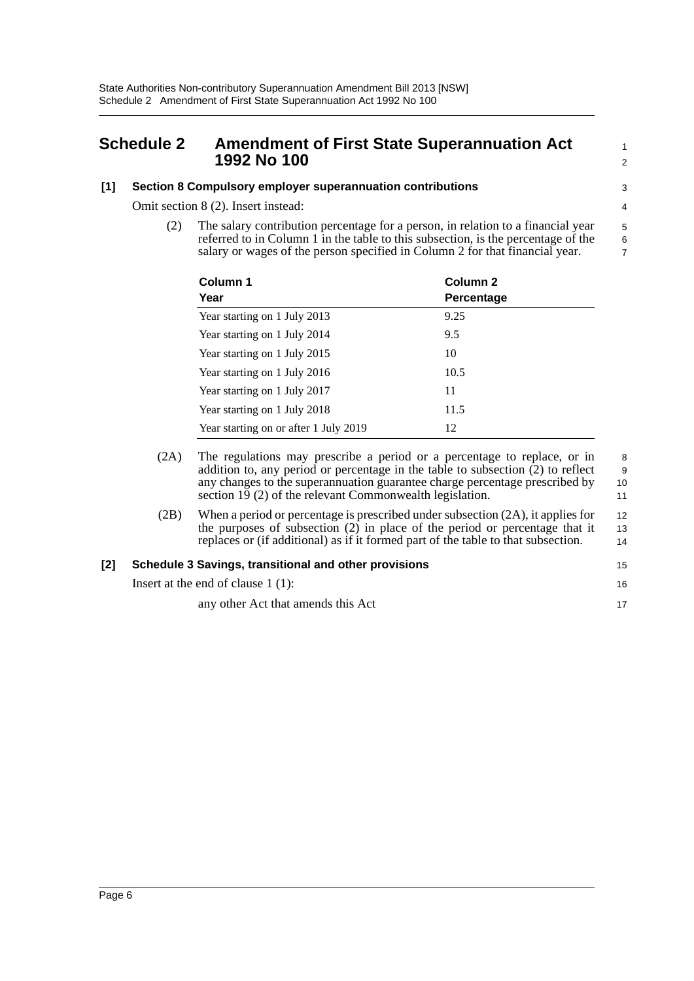### <span id="page-9-0"></span>**Schedule 2 Amendment of First State Superannuation Act 1992 No 100**

#### **[1] Section 8 Compulsory employer superannuation contributions**

Omit section 8 (2). Insert instead:

(2) The salary contribution percentage for a person, in relation to a financial year referred to in Column 1 in the table to this subsection, is the percentage of the salary or wages of the person specified in Column 2 for that financial year.

| Column 1<br>Year                      | Column 2<br>Percentage |
|---------------------------------------|------------------------|
| Year starting on 1 July 2013          | 9.25                   |
| Year starting on 1 July 2014          | 9.5                    |
| Year starting on 1 July 2015          | 10                     |
| Year starting on 1 July 2016          | 10.5                   |
| Year starting on 1 July 2017          | 11                     |
| Year starting on 1 July 2018          | 11.5                   |
| Year starting on or after 1 July 2019 | 12                     |

- (2A) The regulations may prescribe a period or a percentage to replace, or in addition to, any period or percentage in the table to subsection (2) to reflect any changes to the superannuation guarantee charge percentage prescribed by section 19 (2) of the relevant Commonwealth legislation. 8 9 10 11
- (2B) When a period or percentage is prescribed under subsection (2A), it applies for the purposes of subsection (2) in place of the period or percentage that it replaces or (if additional) as if it formed part of the table to that subsection. 12 13 14

#### **[2] Schedule 3 Savings, transitional and other provisions**

Insert at the end of clause 1 (1):

any other Act that amends this Act

16 17

15

1  $\overline{2}$